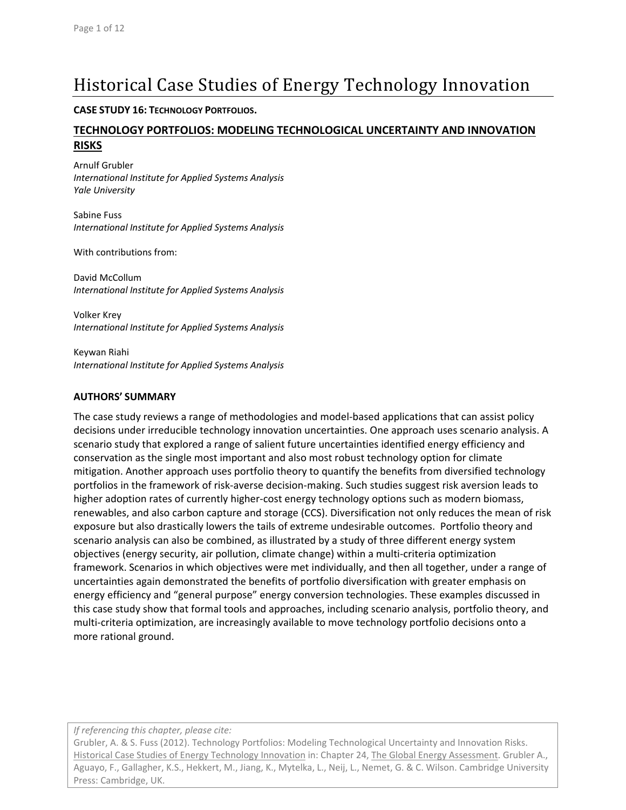# Historical Case Studies of Energy Technology Innovation

### **CASE STUDY 16: TECHNOLOGY PORTFOLIOS.**

### **TECHNOLOGY PORTFOLIOS: MODELING TECHNOLOGICAL UNCERTAINTY AND INNOVATION RISKS**

Arnulf Grubler *International Institute for Applied Systems Analysis Yale University*

Sabine Fuss *International Institute for Applied Systems Analysis*

With contributions from:

David McCollum *International Institute for Applied Systems Analysis*

Volker Krey *International Institute for Applied Systems Analysis*

Keywan Riahi *International Institute for Applied Systems Analysis*

### **AUTHORS' SUMMARY**

The case study reviews a range of methodologies and model‐based applications that can assist policy decisions under irreducible technology innovation uncertainties. One approach uses scenario analysis. A scenario study that explored a range of salient future uncertainties identified energy efficiency and conservation as the single most important and also most robust technology option for climate mitigation. Another approach uses portfolio theory to quantify the benefits from diversified technology portfolios in the framework of risk‐averse decision‐making. Such studies suggest risk aversion leads to higher adoption rates of currently higher-cost energy technology options such as modern biomass, renewables, and also carbon capture and storage (CCS). Diversification not only reduces the mean of risk exposure but also drastically lowers the tails of extreme undesirable outcomes. Portfolio theory and scenario analysis can also be combined, as illustrated by a study of three different energy system objectives (energy security, air pollution, climate change) within a multi‐criteria optimization framework. Scenarios in which objectives were met individually, and then all together, under a range of uncertainties again demonstrated the benefits of portfolio diversification with greater emphasis on energy efficiency and "general purpose" energy conversion technologies. These examples discussed in this case study show that formal tools and approaches, including scenario analysis, portfolio theory, and multi‐criteria optimization, are increasingly available to move technology portfolio decisions onto a more rational ground.

*If referencing this chapter, please cite:*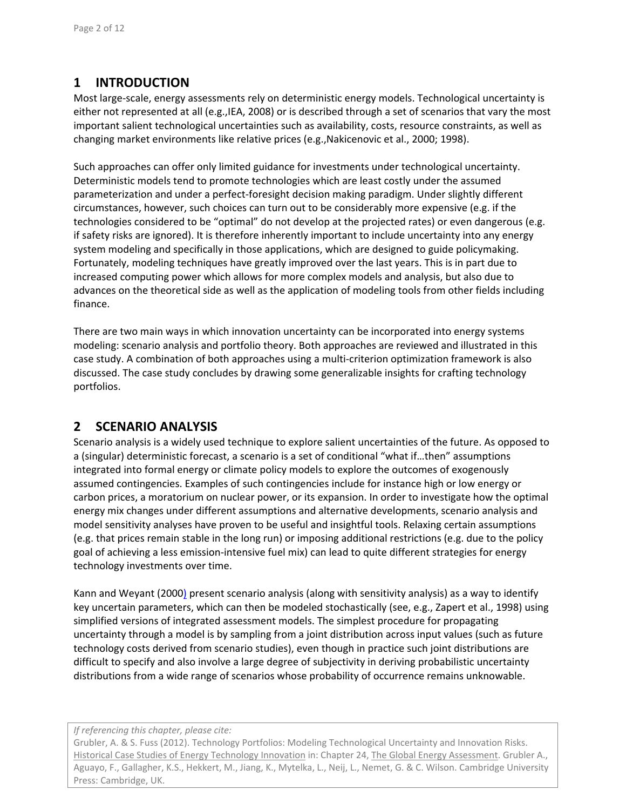# **1 INTRODUCTION**

Most large‐scale, energy assessments rely on deterministic energy models. Technological uncertainty is either not represented at all (e.g.,IEA, 2008) or is described through a set of scenarios that vary the most important salient technological uncertainties such as availability, costs, resource constraints, as well as changing market environments like relative prices (e.g.,Nakicenovic et al., 2000; 1998).

Such approaches can offer only limited guidance for investments under technological uncertainty. Deterministic models tend to promote technologies which are least costly under the assumed parameterization and under a perfect‐foresight decision making paradigm. Under slightly different circumstances, however, such choices can turn out to be considerably more expensive (e.g. if the technologies considered to be "optimal" do not develop at the projected rates) or even dangerous (e.g. if safety risks are ignored). It is therefore inherently important to include uncertainty into any energy system modeling and specifically in those applications, which are designed to guide policymaking. Fortunately, modeling techniques have greatly improved over the last years. This is in part due to increased computing power which allows for more complex models and analysis, but also due to advances on the theoretical side as well as the application of modeling tools from other fields including finance.

There are two main ways in which innovation uncertainty can be incorporated into energy systems modeling: scenario analysis and portfolio theory. Both approaches are reviewed and illustrated in this case study. A combination of both approaches using a multi‐criterion optimization framework is also discussed. The case study concludes by drawing some generalizable insights for crafting technology portfolios.

## **2 SCENARIO ANALYSIS**

Scenario analysis is a widely used technique to explore salient uncertainties of the future. As opposed to a (singular) deterministic forecast, a scenario is a set of conditional "what if…then" assumptions integrated into formal energy or climate policy models to explore the outcomes of exogenously assumed contingencies. Examples of such contingencies include for instance high or low energy or carbon prices, a moratorium on nuclear power, or its expansion. In order to investigate how the optimal energy mix changes under different assumptions and alternative developments, scenario analysis and model sensitivity analyses have proven to be useful and insightful tools. Relaxing certain assumptions (e.g. that prices remain stable in the long run) or imposing additional restrictions (e.g. due to the policy goal of achieving a less emission-intensive fuel mix) can lead to quite different strategies for energy technology investments over time.

Kann and Weyant (2000) present scenario analysis (along with sensitivity analysis) as a way to identify key uncertain parameters, which can then be modeled stochastically (see, e.g., Zapert et al., 1998) using simplified versions of integrated assessment models. The simplest procedure for propagating uncertainty through a model is by sampling from a joint distribution across input values (such as future technology costs derived from scenario studies), even though in practice such joint distributions are difficult to specify and also involve a large degree of subjectivity in deriving probabilistic uncertainty distributions from a wide range of scenarios whose probability of occurrence remains unknowable.

*If referencing this chapter, please cite:*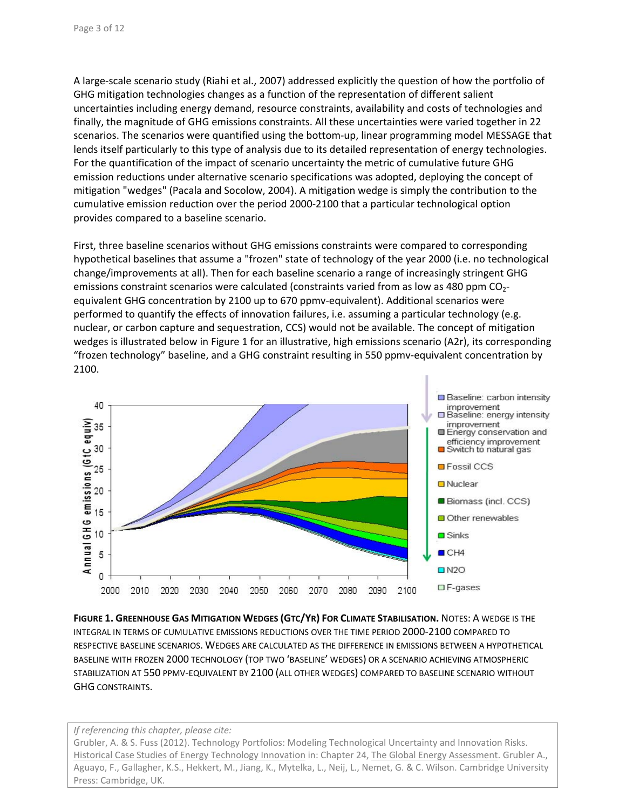A large‐scale scenario study (Riahi et al., 2007) addressed explicitly the question of how the portfolio of GHG mitigation technologies changes as a function of the representation of different salient uncertainties including energy demand, resource constraints, availability and costs of technologies and finally, the magnitude of GHG emissions constraints. All these uncertainties were varied together in 22 scenarios. The scenarios were quantified using the bottom-up, linear programming model MESSAGE that lends itself particularly to this type of analysis due to its detailed representation of energy technologies. For the quantification of the impact of scenario uncertainty the metric of cumulative future GHG emission reductions under alternative scenario specifications was adopted, deploying the concept of mitigation "wedges" (Pacala and Socolow, 2004). A mitigation wedge is simply the contribution to the cumulative emission reduction over the period 2000‐2100 that a particular technological option provides compared to a baseline scenario.

First, three baseline scenarios without GHG emissions constraints were compared to corresponding hypothetical baselines that assume a "frozen" state of technology of the year 2000 (i.e. no technological change/improvements at all). Then for each baseline scenario a range of increasingly stringent GHG emissions constraint scenarios were calculated (constraints varied from as low as 480 ppm  $CO<sub>2</sub>$ equivalent GHG concentration by 2100 up to 670 ppmv-equivalent). Additional scenarios were performed to quantify the effects of innovation failures, i.e. assuming a particular technology (e.g. nuclear, or carbon capture and sequestration, CCS) would not be available. The concept of mitigation wedges is illustrated below in Figure 1 for an illustrative, high emissions scenario (A2r), its corresponding "frozen technology" baseline, and a GHG constraint resulting in 550 ppmv‐equivalent concentration by 2100.



**FIGURE 1. GREENHOUSE GAS MITIGATION WEDGES (GTC/YR) FOR CLIMATE STABILISATION.** NOTES: A WEDGE IS THE INTEGRAL IN TERMS OF CUMULATIVE EMISSIONS REDUCTIONS OVER THE TIME PERIOD 2000‐2100 COMPARED TO RESPECTIVE BASELINE SCENARIOS. WEDGES ARE CALCULATED AS THE DIFFERENCE IN EMISSIONS BETWEEN A HYPOTHETICAL BASELINE WITH FROZEN 2000 TECHNOLOGY (TOP TWO 'BASELINE' WEDGES) OR A SCENARIO ACHIEVING ATMOSPHERIC STABILIZATION AT 550 PPMV‐EQUIVALENT BY 2100 (ALL OTHER WEDGES) COMPARED TO BASELINE SCENARIO WITHOUT GHG CONSTRAINTS.

*If referencing this chapter, please cite:*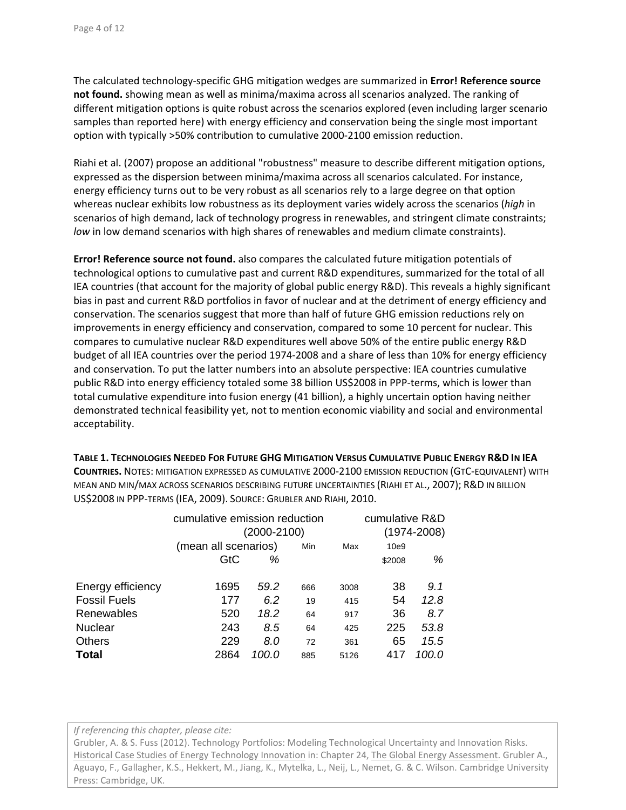The calculated technology‐specific GHG mitigation wedges are summarized in **Error! Reference source not found.** showing mean as well as minima/maxima across all scenarios analyzed. The ranking of different mitigation options is quite robust across the scenarios explored (even including larger scenario samples than reported here) with energy efficiency and conservation being the single most important option with typically >50% contribution to cumulative 2000‐2100 emission reduction.

Riahi et al. (2007) propose an additional "robustness" measure to describe different mitigation options, expressed as the dispersion between minima/maxima across all scenarios calculated. For instance, energy efficiency turns out to be very robust as all scenarios rely to a large degree on that option whereas nuclear exhibits low robustness as its deployment varies widely across the scenarios (*high* in scenarios of high demand, lack of technology progress in renewables, and stringent climate constraints; *low* in low demand scenarios with high shares of renewables and medium climate constraints).

**Error! Reference source not found.** also compares the calculated future mitigation potentials of technological options to cumulative past and current R&D expenditures, summarized for the total of all IEA countries (that account for the majority of global public energy R&D). This reveals a highly significant bias in past and current R&D portfolios in favor of nuclear and at the detriment of energy efficiency and conservation. The scenarios suggest that more than half of future GHG emission reductions rely on improvements in energy efficiency and conservation, compared to some 10 percent for nuclear. This compares to cumulative nuclear R&D expenditures well above 50% of the entire public energy R&D budget of all IEA countries over the period 1974‐2008 and a share of less than 10% for energy efficiency and conservation. To put the latter numbers into an absolute perspective: IEA countries cumulative public R&D into energy efficiency totaled some 38 billion US\$2008 in PPP-terms, which is lower than total cumulative expenditure into fusion energy (41 billion), a highly uncertain option having neither demonstrated technical feasibility yet, not to mention economic viability and social and environmental acceptability.

**TABLE 1. TECHNOLOGIES NEEDED FOR FUTURE GHG MITIGATION VERSUS CUMULATIVE PUBLIC ENERGY R&D IN IEA COUNTRIES.** NOTES: MITIGATION EXPRESSED AS CUMULATIVE 2000‐2100 EMISSION REDUCTION (GTC‐EQUIVALENT) WITH MEAN AND MIN/MAX ACROSS SCENARIOS DESCRIBING FUTURE UNCERTAINTIES (RIAHI ET AL., 2007); R&D IN BILLION US\$2008 IN PPP‐TERMS (IEA, 2009). SOURCE: GRUBLER AND RIAHI, 2010.

|                     | cumulative emission reduction | cumulative R&D |     |             |        |       |
|---------------------|-------------------------------|----------------|-----|-------------|--------|-------|
|                     | (2000-2100)                   |                |     | (1974-2008) |        |       |
|                     | (mean all scenarios)          |                | Min | Max         | 10e9   |       |
|                     | GtC                           | %              |     |             | \$2008 | %     |
| Energy efficiency   | 1695                          | 59.2           | 666 | 3008        | 38     | 9.1   |
| <b>Fossil Fuels</b> | 177                           | 6.2            | 19  | 415         | 54     | 12.8  |
| Renewables          | 520                           | 18.2           | 64  | 917         | 36     | 8.7   |
| <b>Nuclear</b>      | 243                           | 8.5            | 64  | 425         | 225    | 53.8  |
| <b>Others</b>       | 229                           | 8.0            | 72  | 361         | 65     | 15.5  |
| Total               | 2864                          | 100.0          | 885 | 5126        | 417    | 100.O |

*If referencing this chapter, please cite:*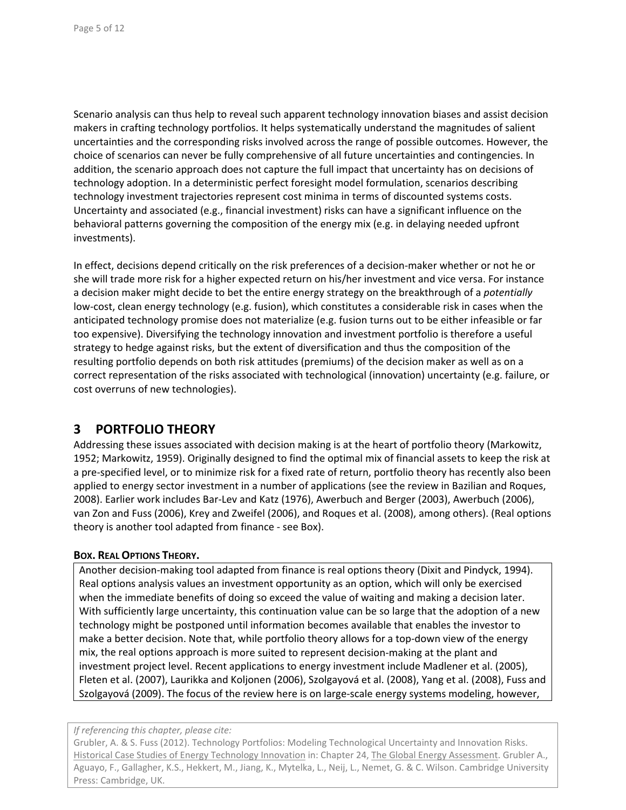Scenario analysis can thus help to reveal such apparent technology innovation biases and assist decision makers in crafting technology portfolios. It helps systematically understand the magnitudes of salient uncertainties and the corresponding risks involved across the range of possible outcomes. However, the choice of scenarios can never be fully comprehensive of all future uncertainties and contingencies. In addition, the scenario approach does not capture the full impact that uncertainty has on decisions of technology adoption. In a deterministic perfect foresight model formulation, scenarios describing technology investment trajectories represent cost minima in terms of discounted systems costs. Uncertainty and associated (e.g., financial investment) risks can have a significant influence on the behavioral patterns governing the composition of the energy mix (e.g. in delaying needed upfront investments).

In effect, decisions depend critically on the risk preferences of a decision‐maker whether or not he or she will trade more risk for a higher expected return on his/her investment and vice versa. For instance a decision maker might decide to bet the entire energy strategy on the breakthrough of a *potentially* low‐cost, clean energy technology (e.g. fusion), which constitutes a considerable risk in cases when the anticipated technology promise does not materialize (e.g. fusion turns out to be either infeasible or far too expensive). Diversifying the technology innovation and investment portfolio is therefore a useful strategy to hedge against risks, but the extent of diversification and thus the composition of the resulting portfolio depends on both risk attitudes (premiums) of the decision maker as well as on a correct representation of the risks associated with technological (innovation) uncertainty (e.g. failure, or cost overruns of new technologies).

## **3 PORTFOLIO THEORY**

Addressing these issues associated with decision making is at the heart of portfolio theory (Markowitz, 1952; Markowitz, 1959). Originally designed to find the optimal mix of financial assets to keep the risk at a pre‐specified level, or to minimize risk for a fixed rate of return, portfolio theory has recently also been applied to energy sector investment in a number of applications (see the review in Bazilian and Roques, 2008). Earlier work includes Bar‐Lev and Katz (1976), Awerbuch and Berger (2003), Awerbuch (2006), van Zon and Fuss (2006), Krey and Zweifel (2006), and Roques et al. (2008), among others). (Real options theory is another tool adapted from finance ‐ see Box).

### **BOX. REAL OPTIONS THEORY.**

Another decision‐making tool adapted from finance is real options theory (Dixit and Pindyck, 1994). Real options analysis values an investment opportunity as an option, which will only be exercised when the immediate benefits of doing so exceed the value of waiting and making a decision later. With sufficiently large uncertainty, this continuation value can be so large that the adoption of a new technology might be postponed until information becomes available that enables the investor to make a better decision. Note that, while portfolio theory allows for a top-down view of the energy mix, the real options approach is more suited to represent decision‐making at the plant and investment project level. Recent applications to energy investment include Madlener et al. (2005), Fleten et al. (2007), Laurikka and Koljonen (2006), Szolgayová et al. (2008), Yang et al. (2008), Fuss and Szolgayová (2009). The focus of the review here is on large‐scale energy systems modeling, however,

### *If referencing this chapter, please cite:*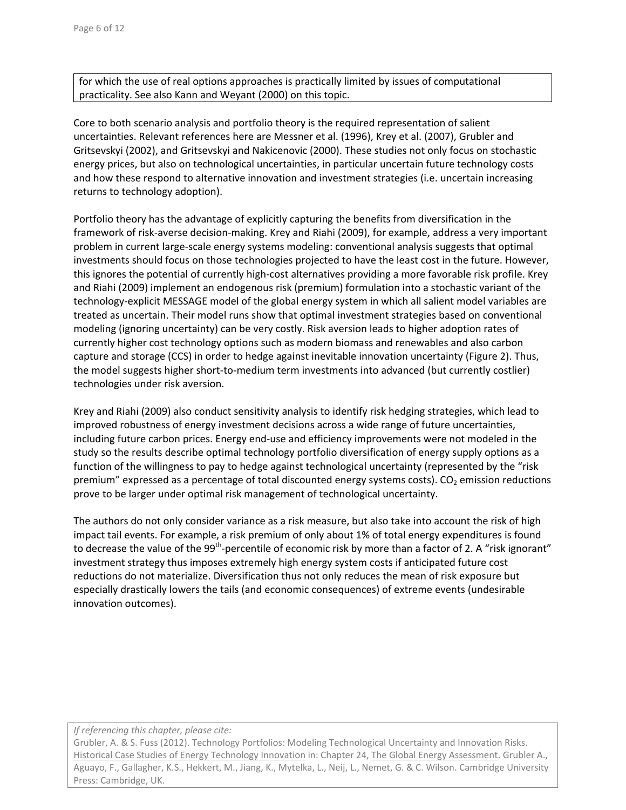for which the use of real options approaches is practically limited by issues of computational practicality. See also Kann and Weyant (2000) on this topic.

Core to both scenario analysis and portfolio theory is the required representation of salient uncertainties. Relevant references here are Messner et al. (1996), Krey et al. (2007), Grubler and Gritsevskyi (2002), and Gritsevskyi and Nakicenovic (2000). These studies not only focus on stochastic energy prices, but also on technological uncertainties, in particular uncertain future technology costs and how these respond to alternative innovation and investment strategies (i.e. uncertain increasing returns to technology adoption).

Portfolio theory has the advantage of explicitly capturing the benefits from diversification in the framework of risk‐averse decision‐making. Krey and Riahi (2009), for example, address a very important problem in current large‐scale energy systems modeling: conventional analysis suggests that optimal investments should focus on those technologies projected to have the least cost in the future. However, this ignores the potential of currently high‐cost alternatives providing a more favorable risk profile. Krey and Riahi (2009) implement an endogenous risk (premium) formulation into a stochastic variant of the technology‐explicit MESSAGE model of the global energy system in which all salient model variables are treated as uncertain. Their model runs show that optimal investment strategies based on conventional modeling (ignoring uncertainty) can be very costly. Risk aversion leads to higher adoption rates of currently higher cost technology options such as modern biomass and renewables and also carbon capture and storage (CCS) in order to hedge against inevitable innovation uncertainty (Figure 2). Thus, the model suggests higher short-to-medium term investments into advanced (but currently costlier) technologies under risk aversion.

Krey and Riahi (2009) also conduct sensitivity analysis to identify risk hedging strategies, which lead to improved robustness of energy investment decisions across a wide range of future uncertainties, including future carbon prices. Energy end‐use and efficiency improvements were not modeled in the study so the results describe optimal technology portfolio diversification of energy supply options as a function of the willingness to pay to hedge against technological uncertainty (represented by the "risk premium" expressed as a percentage of total discounted energy systems costs). CO<sub>2</sub> emission reductions prove to be larger under optimal risk management of technological uncertainty.

The authors do not only consider variance as a risk measure, but also take into account the risk of high impact tail events. For example, a risk premium of only about 1% of total energy expenditures is found to decrease the value of the 99<sup>th</sup>-percentile of economic risk by more than a factor of 2. A "risk ignorant" investment strategy thus imposes extremely high energy system costs if anticipated future cost reductions do not materialize. Diversification thus not only reduces the mean of risk exposure but especially drastically lowers the tails (and economic consequences) of extreme events (undesirable innovation outcomes).

*If referencing this chapter, please cite:*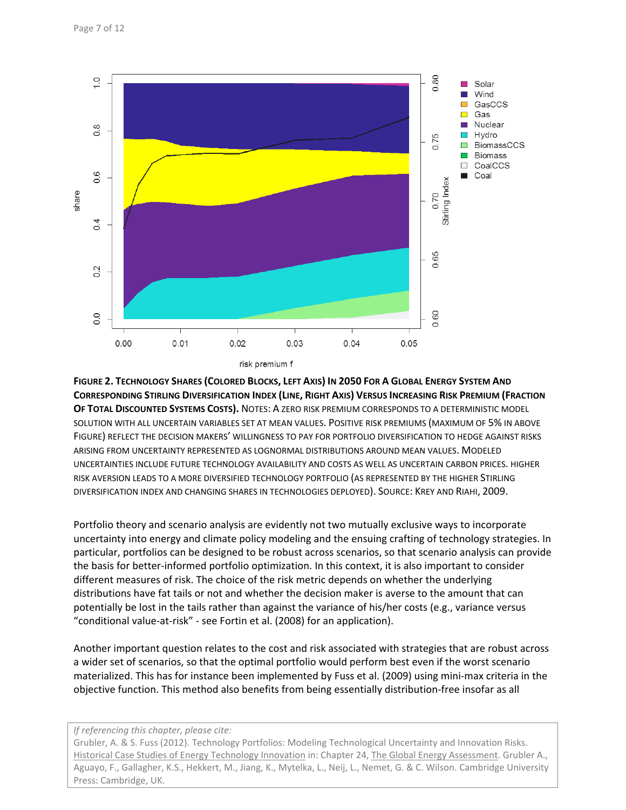

**FIGURE 2. TECHNOLOGY SHARES (COLORED BLOCKS, LEFT AXIS) IN 2050 FOR A GLOBAL ENERGY SYSTEM AND CORRESPONDING STIRLING DIVERSIFICATION INDEX (LINE, RIGHT AXIS) VERSUS INCREASING RISK PREMIUM (FRACTION OF TOTAL DISCOUNTED SYSTEMS COSTS).** NOTES: A ZERO RISK PREMIUM CORRESPONDS TO A DETERMINISTIC MODEL SOLUTION WITH ALL UNCERTAIN VARIABLES SET AT MEAN VALUES. POSITIVE RISK PREMIUMS (MAXIMUM OF 5% IN ABOVE FIGURE) REFLECT THE DECISION MAKERS' WILLINGNESS TO PAY FOR PORTFOLIO DIVERSIFICATION TO HEDGE AGAINST RISKS ARISING FROM UNCERTAINTY REPRESENTED AS LOGNORMAL DISTRIBUTIONS AROUND MEAN VALUES. MODELED UNCERTAINTIES INCLUDE FUTURE TECHNOLOGY AVAILABILITY AND COSTS AS WELL AS UNCERTAIN CARBON PRICES. HIGHER RISK AVERSION LEADS TO A MORE DIVERSIFIED TECHNOLOGY PORTFOLIO (AS REPRESENTED BY THE HIGHER STIRLING DIVERSIFICATION INDEX AND CHANGING SHARES IN TECHNOLOGIES DEPLOYED). SOURCE: KREY AND RIAHI, 2009.

Portfolio theory and scenario analysis are evidently not two mutually exclusive ways to incorporate uncertainty into energy and climate policy modeling and the ensuing crafting of technology strategies. In particular, portfolios can be designed to be robust across scenarios, so that scenario analysis can provide the basis for better‐informed portfolio optimization. In this context, it is also important to consider different measures of risk. The choice of the risk metric depends on whether the underlying distributions have fat tails or not and whether the decision maker is averse to the amount that can potentially be lost in the tails rather than against the variance of his/her costs (e.g., variance versus "conditional value‐at‐risk" ‐ see Fortin et al. (2008) for an application).

Another important question relates to the cost and risk associated with strategies that are robust across a wider set of scenarios, so that the optimal portfolio would perform best even if the worst scenario materialized. This has for instance been implemented by Fuss et al. (2009) using mini‐max criteria in the objective function. This method also benefits from being essentially distribution‐free insofar as all

#### *If referencing this chapter, please cite:*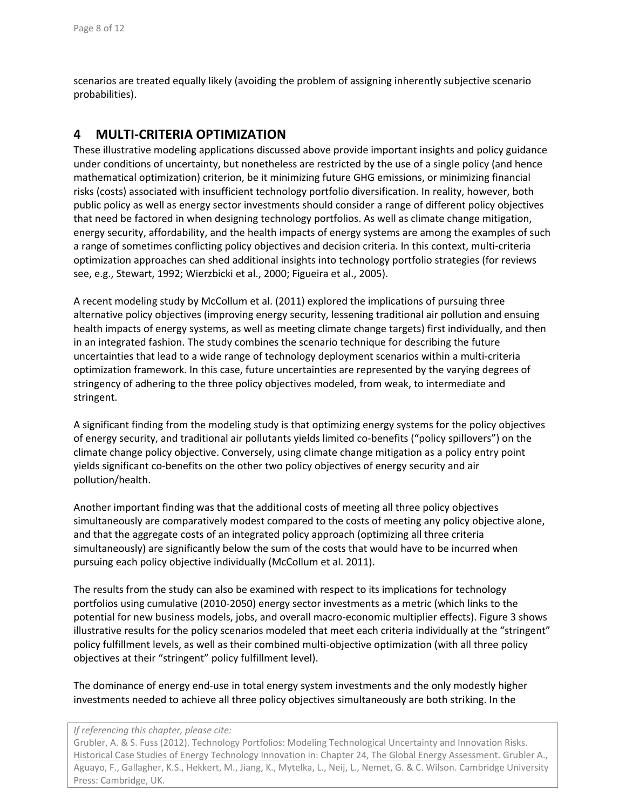scenarios are treated equally likely (avoiding the problem of assigning inherently subjective scenario probabilities).

### **4 MULTI‐CRITERIA OPTIMIZATION**

These illustrative modeling applications discussed above provide important insights and policy guidance under conditions of uncertainty, but nonetheless are restricted by the use of a single policy (and hence mathematical optimization) criterion, be it minimizing future GHG emissions, or minimizing financial risks (costs) associated with insufficient technology portfolio diversification. In reality, however, both public policy as well as energy sector investments should consider a range of different policy objectives that need be factored in when designing technology portfolios. As well as climate change mitigation, energy security, affordability, and the health impacts of energy systems are among the examples of such a range of sometimes conflicting policy objectives and decision criteria. In this context, multi‐criteria optimization approaches can shed additional insights into technology portfolio strategies (for reviews see, e.g., Stewart, 1992; Wierzbicki et al., 2000; Figueira et al., 2005).

A recent modeling study by McCollum et al. (2011) explored the implications of pursuing three alternative policy objectives (improving energy security, lessening traditional air pollution and ensuing health impacts of energy systems, as well as meeting climate change targets) first individually, and then in an integrated fashion. The study combines the scenario technique for describing the future uncertainties that lead to a wide range of technology deployment scenarios within a multi‐criteria optimization framework. In this case, future uncertainties are represented by the varying degrees of stringency of adhering to the three policy objectives modeled, from weak, to intermediate and stringent.

A significant finding from the modeling study is that optimizing energy systems for the policy objectives of energy security, and traditional air pollutants yields limited co‐benefits ("policy spillovers") on the climate change policy objective. Conversely, using climate change mitigation as a policy entry point yields significant co‐benefits on the other two policy objectives of energy security and air pollution/health.

Another important finding was that the additional costs of meeting all three policy objectives simultaneously are comparatively modest compared to the costs of meeting any policy objective alone, and that the aggregate costs of an integrated policy approach (optimizing all three criteria simultaneously) are significantly below the sum of the costs that would have to be incurred when pursuing each policy objective individually (McCollum et al. 2011).

The results from the study can also be examined with respect to its implications for technology portfolios using cumulative (2010‐2050) energy sector investments as a metric (which links to the potential for new business models, jobs, and overall macro‐economic multiplier effects). Figure 3 shows illustrative results for the policy scenarios modeled that meet each criteria individually at the "stringent" policy fulfillment levels, as well as their combined multi‐objective optimization (with all three policy objectives at their "stringent" policy fulfillment level).

The dominance of energy end‐use in total energy system investments and the only modestly higher investments needed to achieve all three policy objectives simultaneously are both striking. In the

#### *If referencing this chapter, please cite:*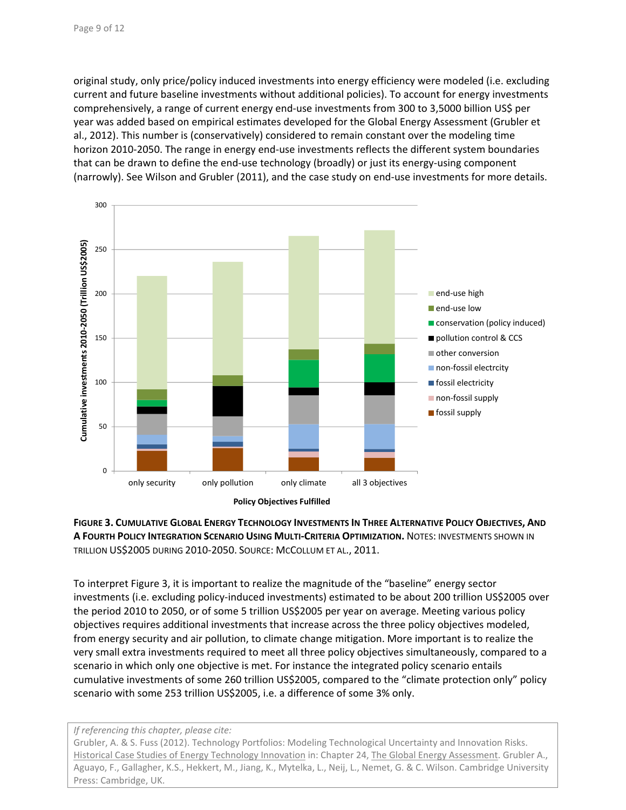original study, only price/policy induced investments into energy efficiency were modeled (i.e. excluding current and future baseline investments without additional policies). To account for energy investments comprehensively, a range of current energy end‐use investments from 300 to 3,5000 billion US\$ per year was added based on empirical estimates developed for the Global Energy Assessment (Grubler et al., 2012). This number is (conservatively) considered to remain constant over the modeling time horizon 2010-2050. The range in energy end-use investments reflects the different system boundaries that can be drawn to define the end-use technology (broadly) or just its energy-using component (narrowly). See Wilson and Grubler (2011), and the case study on end-use investments for more details.





To interpret Figure 3, it is important to realize the magnitude of the "baseline" energy sector investments (i.e. excluding policy‐induced investments) estimated to be about 200 trillion US\$2005 over the period 2010 to 2050, or of some 5 trillion US\$2005 per year on average. Meeting various policy objectives requires additional investments that increase across the three policy objectives modeled, from energy security and air pollution, to climate change mitigation. More important is to realize the very small extra investments required to meet all three policy objectives simultaneously, compared to a scenario in which only one objective is met. For instance the integrated policy scenario entails cumulative investments of some 260 trillion US\$2005, compared to the "climate protection only" policy scenario with some 253 trillion US\$2005, i.e. a difference of some 3% only.

#### *If referencing this chapter, please cite:*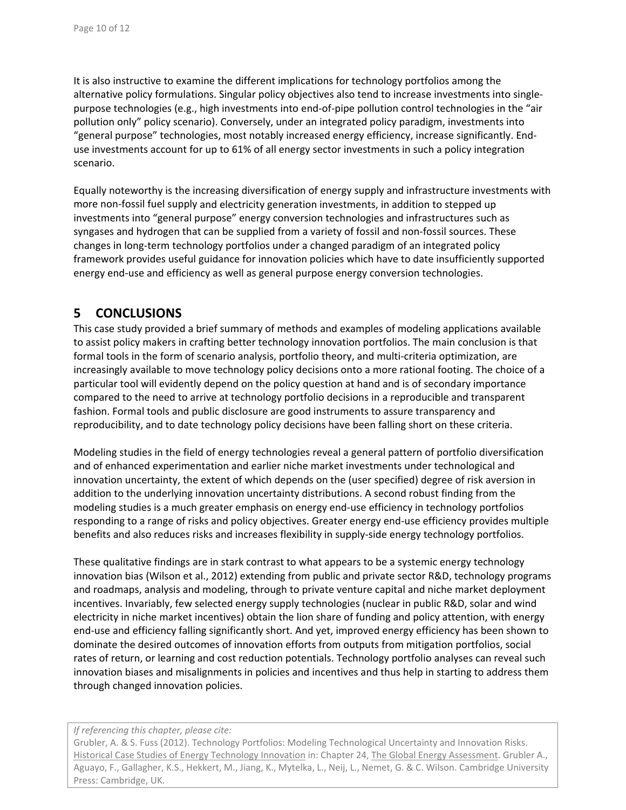It is also instructive to examine the different implications for technology portfolios among the alternative policy formulations. Singular policy objectives also tend to increase investments into single‐ purpose technologies (e.g., high investments into end‐of‐pipe pollution control technologies in the "air pollution only" policy scenario). Conversely, under an integrated policy paradigm, investments into "general purpose" technologies, most notably increased energy efficiency, increase significantly. End‐ use investments account for up to 61% of all energy sector investments in such a policy integration scenario.

Equally noteworthy is the increasing diversification of energy supply and infrastructure investments with more non-fossil fuel supply and electricity generation investments, in addition to stepped up investments into "general purpose" energy conversion technologies and infrastructures such as syngases and hydrogen that can be supplied from a variety of fossil and non-fossil sources. These changes in long‐term technology portfolios under a changed paradigm of an integrated policy framework provides useful guidance for innovation policies which have to date insufficiently supported energy end-use and efficiency as well as general purpose energy conversion technologies.

### **5 CONCLUSIONS**

This case study provided a brief summary of methods and examples of modeling applications available to assist policy makers in crafting better technology innovation portfolios. The main conclusion is that formal tools in the form of scenario analysis, portfolio theory, and multi-criteria optimization, are increasingly available to move technology policy decisions onto a more rational footing. The choice of a particular tool will evidently depend on the policy question at hand and is of secondary importance compared to the need to arrive at technology portfolio decisions in a reproducible and transparent fashion. Formal tools and public disclosure are good instruments to assure transparency and reproducibility, and to date technology policy decisions have been falling short on these criteria.

Modeling studies in the field of energy technologies reveal a general pattern of portfolio diversification and of enhanced experimentation and earlier niche market investments under technological and innovation uncertainty, the extent of which depends on the (user specified) degree of risk aversion in addition to the underlying innovation uncertainty distributions. A second robust finding from the modeling studies is a much greater emphasis on energy end‐use efficiency in technology portfolios responding to a range of risks and policy objectives. Greater energy end‐use efficiency provides multiple benefits and also reduces risks and increases flexibility in supply‐side energy technology portfolios.

These qualitative findings are in stark contrast to what appears to be a systemic energy technology innovation bias (Wilson et al., 2012) extending from public and private sector R&D, technology programs and roadmaps, analysis and modeling, through to private venture capital and niche market deployment incentives. Invariably, few selected energy supply technologies (nuclear in public R&D, solar and wind electricity in niche market incentives) obtain the lion share of funding and policy attention, with energy end‐use and efficiency falling significantly short. And yet, improved energy efficiency has been shown to dominate the desired outcomes of innovation efforts from outputs from mitigation portfolios, social rates of return, or learning and cost reduction potentials. Technology portfolio analyses can reveal such innovation biases and misalignments in policies and incentives and thus help in starting to address them through changed innovation policies.

#### *If referencing this chapter, please cite:*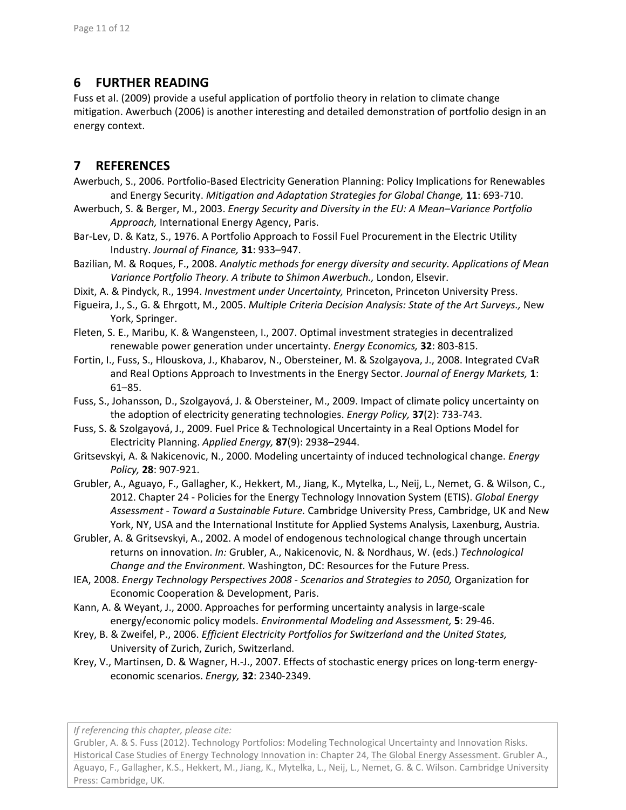# **6 FURTHER READING**

Fuss et al. (2009) provide a useful application of portfolio theory in relation to climate change mitigation. Awerbuch (2006) is another interesting and detailed demonstration of portfolio design in an energy context.

# **7 REFERENCES**

- Awerbuch, S., 2006. Portfolio‐Based Electricity Generation Planning: Policy Implications for Renewables and Energy Security. *Mitigation and Adaptation Strategies for Global Change,* **11**: 693‐710.
- Awerbuch, S. & Berger, M., 2003. *Energy Security and Diversity in the EU: A Mean–Variance Portfolio Approach,* International Energy Agency, Paris.
- Bar‐Lev, D. & Katz, S., 1976. A Portfolio Approach to Fossil Fuel Procurement in the Electric Utility Industry. *Journal of Finance,* **31**: 933–947.
- Bazilian, M. & Roques, F., 2008. *Analytic methods for energy diversity and security. Applications of Mean Variance Portfolio Theory. A tribute to Shimon Awerbuch.,* London, Elsevir.
- Dixit, A. & Pindyck, R., 1994. *Investment under Uncertainty,* Princeton, Princeton University Press.
- Figueira, J., S., G. & Ehrgott, M., 2005. *Multiple Criteria Decision Analysis: State of the Art Surveys.,* New York, Springer.
- Fleten, S. E., Maribu, K. & Wangensteen, I., 2007. Optimal investment strategies in decentralized renewable power generation under uncertainty. *Energy Economics,* **32**: 803‐815.
- Fortin, I., Fuss, S., Hlouskova, J., Khabarov, N., Obersteiner, M. & Szolgayova, J., 2008. Integrated CVaR and Real Options Approach to Investments in the Energy Sector. *Journal of Energy Markets,* **1**: 61–85.
- Fuss, S., Johansson, D., Szolgayová, J. & Obersteiner, M., 2009. Impact of climate policy uncertainty on the adoption of electricity generating technologies. *Energy Policy,* **37**(2): 733‐743.
- Fuss, S. & Szolgayová, J., 2009. Fuel Price & Technological Uncertainty in a Real Options Model for Electricity Planning. *Applied Energy,* **87**(9): 2938–2944.
- Gritsevskyi, A. & Nakicenovic, N., 2000. Modeling uncertainty of induced technological change. *Energy Policy,* **28**: 907‐921.
- Grubler, A., Aguayo, F., Gallagher, K., Hekkert, M., Jiang, K., Mytelka, L., Neij, L., Nemet, G. & Wilson, C., 2012. Chapter 24 ‐ Policies for the Energy Technology Innovation System (ETIS). *Global Energy Assessment ‐ Toward a Sustainable Future.* Cambridge University Press, Cambridge, UK and New York, NY, USA and the International Institute for Applied Systems Analysis, Laxenburg, Austria.
- Grubler, A. & Gritsevskyi, A., 2002. A model of endogenous technological change through uncertain returns on innovation. *In:* Grubler, A., Nakicenovic, N. & Nordhaus, W. (eds.) *Technological Change and the Environment.* Washington, DC: Resources for the Future Press.
- IEA, 2008. *Energy Technology Perspectives 2008 ‐ Scenarios and Strategies to 2050,* Organization for Economic Cooperation & Development, Paris.
- Kann, A. & Weyant, J., 2000. Approaches for performing uncertainty analysis in large‐scale energy/economic policy models. *Environmental Modeling and Assessment,* **5**: 29‐46.
- Krey, B. & Zweifel, P., 2006. *Efficient Electricity Portfolios for Switzerland and the United States,* University of Zurich, Zurich, Switzerland.
- Krey, V., Martinsen, D. & Wagner, H.-J., 2007. Effects of stochastic energy prices on long-term energyeconomic scenarios. *Energy,* **32**: 2340‐2349.

*If referencing this chapter, please cite:*